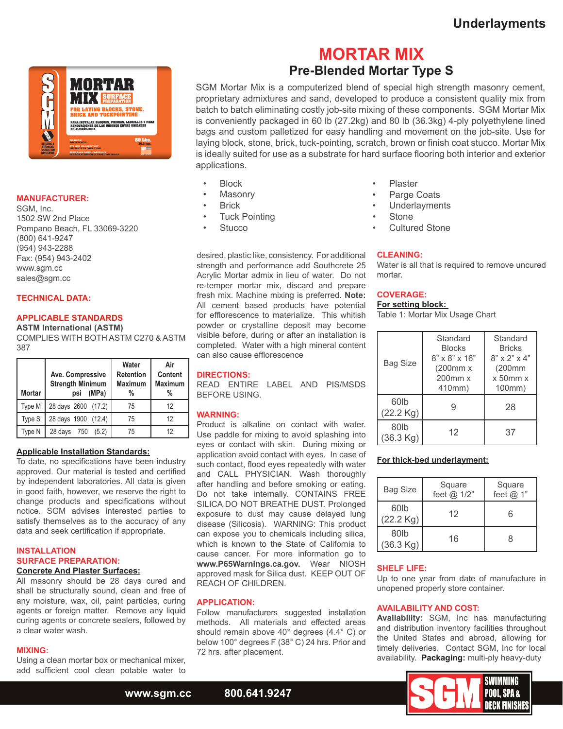

# **MANUFACTURER:**

SGM, Inc. 1502 SW 2nd Place Pompano Beach, FL 33069-3220 (800) 641-9247 (954) 943-2288 Fax: (954) 943-2402 www.sgm.cc sales@sgm.cc

## **TECHNICAL DATA:**

# **APPLICABLE STANDARDS**

**ASTM International (ASTM)**  COMPLIES WITH BOTH ASTM C270 & ASTM

387

| <b>Mortar</b> | Ave. Compressive<br><b>Strength Minimum</b><br>(MPa)<br>psi | Water<br><b>Retention</b><br><b>Maximum</b><br>% | Air<br>Content<br><b>Maximum</b><br>% |
|---------------|-------------------------------------------------------------|--------------------------------------------------|---------------------------------------|
| Type M        | 28 days 2600 (17.2)                                         | 75                                               | 12                                    |
| Type S        | 28 days 1900 (12.4)                                         | 75                                               | 12                                    |
| Type N        | 28 days 750<br>(5.2)                                        | 75                                               | 12                                    |

#### **Applicable Installation Standards:**

To date, no specifications have been industry approved. Our material is tested and certified by independent laboratories. All data is given in good faith, however, we reserve the right to change products and specifications without notice. SGM advises interested parties to satisfy themselves as to the accuracy of any data and seek certification if appropriate.

### **INSTALLATION SURFACE PREPARATION: Concrete And Plaster Surfaces:**

All masonry should be 28 days cured and shall be structurally sound, clean and free of any moisture, wax, oil, paint particles, curing agents or foreign matter. Remove any liquid curing agents or concrete sealers, followed by a clear water wash.

# **MIXING:**

Using a clean mortar box or mechanical mixer, add sufficient cool clean potable water to

# **MORTAR MIX Pre-Blended Mortar Type S**

SGM Mortar Mix is a computerized blend of special high strength masonry cement, proprietary admixtures and sand, developed to produce a consistent quality mix from batch to batch eliminating costly job-site mixing of these components. SGM Mortar Mix is conveniently packaged in 60 lb (27.2kg) and 80 lb (36.3kg) 4-ply polyethylene lined bags and custom palletized for easy handling and movement on the job-site. Use for laying block, stone, brick, tuck-pointing, scratch, brown or finish coat stucco. Mortar Mix is ideally suited for use as a substrate for hard surface flooring both interior and exterior applications.

- Block
- **Masonry**
- **Brick**
- **Tuck Pointing**
- **Stucco**

desired, plastic like, consistency. For additional strength and performance add Southcrete 25 Acrylic Mortar admix in lieu of water. Do not re-temper mortar mix, discard and prepare fresh mix. Machine mixing is preferred. **Note:** All cement based products have potential for efflorescence to materialize. This whitish powder or crystalline deposit may become visible before, during or after an installation is completed. Water with a high mineral content can also cause efflorescence

# **DIRECTIONS:**

READ ENTIRE LABEL AND PIS/MSDS BEFORE USING.

## **WARNING:**

Product is alkaline on contact with water. Use paddle for mixing to avoid splashing into eyes or contact with skin. During mixing or application avoid contact with eyes. In case of such contact, flood eyes repeatedly with water and CALL PHYSICIAN. Wash thoroughly after handling and before smoking or eating. Do not take internally. CONTAINS FREE SILICA DO NOT BREATHE DUST. Prolonged exposure to dust may cause delayed lung disease (Silicosis). WARNING: This product can expose you to chemicals including silica, which is known to the State of California to cause cancer. For more information go to **www.P65Warnings.ca.gov.** Wear NIOSH approved mask for Silica dust. KEEP OUT OF REACH OF CHILDREN.

# **APPLICATION:**

Follow manufacturers suggested installation methods. All materials and effected areas should remain above 40° degrees (4.4° C) or below 100° degrees F (38° C) 24 hrs. Prior and 72 hrs. after placement.

- **Plaster**
- Parge Coats
- **Underlayments**
- **Stone**
- Cultured Stone

#### **CLEANING:**

Water is all that is required to remove uncured mortar.

## **COVERAGE:**

#### **For setting block:**

Table 1: Mortar Mix Usage Chart

|  | <b>Bag Size</b>             | Standard<br><b>Blocks</b><br>$8" \times 8" \times 16"$<br>(200mm x<br>$200$ mm $x$<br>410mm) | Standard<br><b>Bricks</b><br>$8" \times 2" \times 4"$<br>(200mm<br>$x$ 50 $mmx$<br>100mm) |
|--|-----------------------------|----------------------------------------------------------------------------------------------|-------------------------------------------------------------------------------------------|
|  | 60lb<br>$(22.2 \text{ Kg})$ | 9                                                                                            | 28                                                                                        |
|  | 80lb<br>(36.3 Kg)           | 12                                                                                           | 37                                                                                        |

#### **For thick-bed underlayment:**

| <b>Bag Size</b>               | Square<br>feet @ 1/2" | Square<br>feet $@1"$ |
|-------------------------------|-----------------------|----------------------|
| 60lb<br>$(22.2 \text{ Kg})$   | 12                    | ี                    |
| 80 <sub>lb</sub><br>(36.3 Kg) | 16                    | я                    |

# **SHELF LIFE:**

Up to one year from date of manufacture in unopened properly store container.

## **AVAILABILITY AND COST:**

**Availability:** SGM, Inc has manufacturing and distribution inventory facilities throughout the United States and abroad, allowing for timely deliveries. Contact SGM, Inc for local availability. **Packaging:** multi-ply heavy-duty